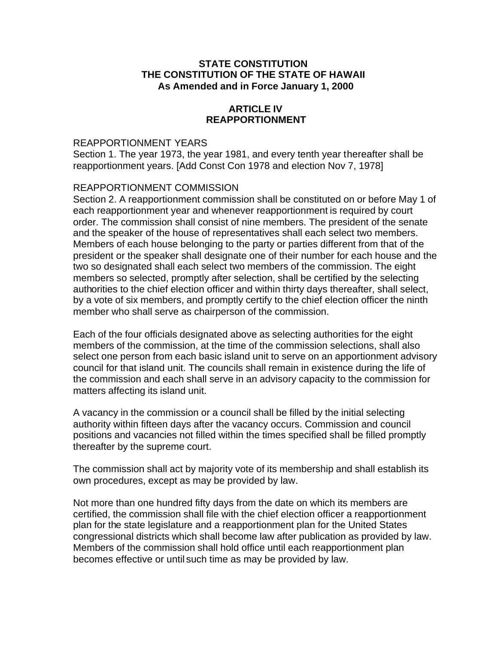## **STATE CONSTITUTION THE CONSTITUTION OF THE STATE OF HAWAII As Amended and in Force January 1, 2000**

## **ARTICLE IV REAPPORTIONMENT**

#### REAPPORTIONMENT YEARS

Section 1. The year 1973, the year 1981, and every tenth year thereafter shall be reapportionment years. [Add Const Con 1978 and election Nov 7, 1978]

### REAPPORTIONMENT COMMISSION

Section 2. A reapportionment commission shall be constituted on or before May 1 of each reapportionment year and whenever reapportionment is required by court order. The commission shall consist of nine members. The president of the senate and the speaker of the house of representatives shall each select two members. Members of each house belonging to the party or parties different from that of the president or the speaker shall designate one of their number for each house and the two so designated shall each select two members of the commission. The eight members so selected, promptly after selection, shall be certified by the selecting authorities to the chief election officer and within thirty days thereafter, shall select, by a vote of six members, and promptly certify to the chief election officer the ninth member who shall serve as chairperson of the commission.

Each of the four officials designated above as selecting authorities for the eight members of the commission, at the time of the commission selections, shall also select one person from each basic island unit to serve on an apportionment advisory council for that island unit. The councils shall remain in existence during the life of the commission and each shall serve in an advisory capacity to the commission for matters affecting its island unit.

A vacancy in the commission or a council shall be filled by the initial selecting authority within fifteen days after the vacancy occurs. Commission and council positions and vacancies not filled within the times specified shall be filled promptly thereafter by the supreme court.

The commission shall act by majority vote of its membership and shall establish its own procedures, except as may be provided by law.

Not more than one hundred fifty days from the date on which its members are certified, the commission shall file with the chief election officer a reapportionment plan for the state legislature and a reapportionment plan for the United States congressional districts which shall become law after publication as provided by law. Members of the commission shall hold office until each reapportionment plan becomes effective or until such time as may be provided by law.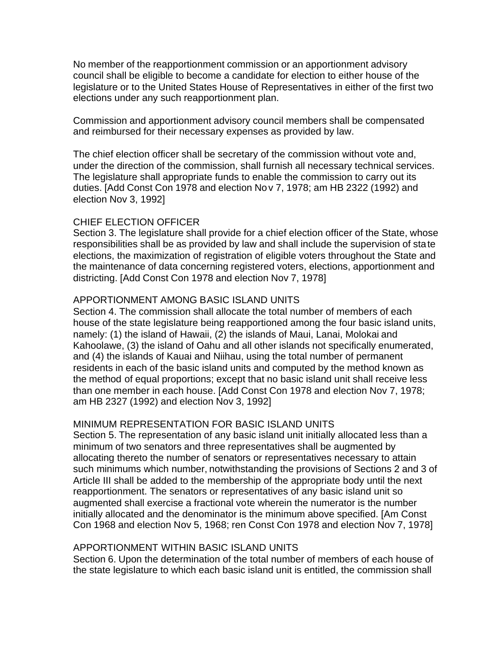No member of the reapportionment commission or an apportionment advisory council shall be eligible to become a candidate for election to either house of the legislature or to the United States House of Representatives in either of the first two elections under any such reapportionment plan.

Commission and apportionment advisory council members shall be compensated and reimbursed for their necessary expenses as provided by law.

The chief election officer shall be secretary of the commission without vote and, under the direction of the commission, shall furnish all necessary technical services. The legislature shall appropriate funds to enable the commission to carry out its duties. [Add Const Con 1978 and election Nov 7, 1978; am HB 2322 (1992) and election Nov 3, 1992]

#### CHIEF ELECTION OFFICER

Section 3. The legislature shall provide for a chief election officer of the State, whose responsibilities shall be as provided by law and shall include the supervision of state elections, the maximization of registration of eligible voters throughout the State and the maintenance of data concerning registered voters, elections, apportionment and districting. [Add Const Con 1978 and election Nov 7, 1978]

### APPORTIONMENT AMONG BASIC ISLAND UNITS

Section 4. The commission shall allocate the total number of members of each house of the state legislature being reapportioned among the four basic island units, namely: (1) the island of Hawaii, (2) the islands of Maui, Lanai, Molokai and Kahoolawe, (3) the island of Oahu and all other islands not specifically enumerated, and (4) the islands of Kauai and Niihau, using the total number of permanent residents in each of the basic island units and computed by the method known as the method of equal proportions; except that no basic island unit shall receive less than one member in each house. [Add Const Con 1978 and election Nov 7, 1978; am HB 2327 (1992) and election Nov 3, 1992]

#### MINIMUM REPRESENTATION FOR BASIC ISLAND UNITS

Section 5. The representation of any basic island unit initially allocated less than a minimum of two senators and three representatives shall be augmented by allocating thereto the number of senators or representatives necessary to attain such minimums which number, notwithstanding the provisions of Sections 2 and 3 of Article III shall be added to the membership of the appropriate body until the next reapportionment. The senators or representatives of any basic island unit so augmented shall exercise a fractional vote wherein the numerator is the number initially allocated and the denominator is the minimum above specified. [Am Const Con 1968 and election Nov 5, 1968; ren Const Con 1978 and election Nov 7, 1978]

## APPORTIONMENT WITHIN BASIC ISLAND UNITS

Section 6. Upon the determination of the total number of members of each house of the state legislature to which each basic island unit is entitled, the commission shall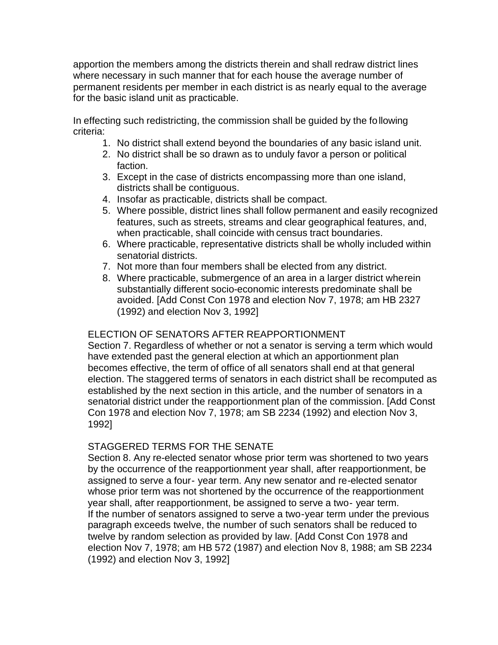apportion the members among the districts therein and shall redraw district lines where necessary in such manner that for each house the average number of permanent residents per member in each district is as nearly equal to the average for the basic island unit as practicable.

In effecting such redistricting, the commission shall be guided by the following criteria:

- 1. No district shall extend beyond the boundaries of any basic island unit.
- 2. No district shall be so drawn as to unduly favor a person or political faction.
- 3. Except in the case of districts encompassing more than one island, districts shall be contiguous.
- 4. Insofar as practicable, districts shall be compact.
- 5. Where possible, district lines shall follow permanent and easily recognized features, such as streets, streams and clear geographical features, and, when practicable, shall coincide with census tract boundaries.
- 6. Where practicable, representative districts shall be wholly included within senatorial districts.
- 7. Not more than four members shall be elected from any district.
- 8. Where practicable, submergence of an area in a larger district wherein substantially different socio-economic interests predominate shall be avoided. [Add Const Con 1978 and election Nov 7, 1978; am HB 2327 (1992) and election Nov 3, 1992]

# ELECTION OF SENATORS AFTER REAPPORTIONMENT

Section 7. Regardless of whether or not a senator is serving a term which would have extended past the general election at which an apportionment plan becomes effective, the term of office of all senators shall end at that general election. The staggered terms of senators in each district shall be recomputed as established by the next section in this article, and the number of senators in a senatorial district under the reapportionment plan of the commission. [Add Const Con 1978 and election Nov 7, 1978; am SB 2234 (1992) and election Nov 3, 1992]

# STAGGERED TERMS FOR THE SENATE

Section 8. Any re-elected senator whose prior term was shortened to two years by the occurrence of the reapportionment year shall, after reapportionment, be assigned to serve a four- year term. Any new senator and re-elected senator whose prior term was not shortened by the occurrence of the reapportionment year shall, after reapportionment, be assigned to serve a two- year term. If the number of senators assigned to serve a two-year term under the previous paragraph exceeds twelve, the number of such senators shall be reduced to twelve by random selection as provided by law. [Add Const Con 1978 and election Nov 7, 1978; am HB 572 (1987) and election Nov 8, 1988; am SB 2234 (1992) and election Nov 3, 1992]